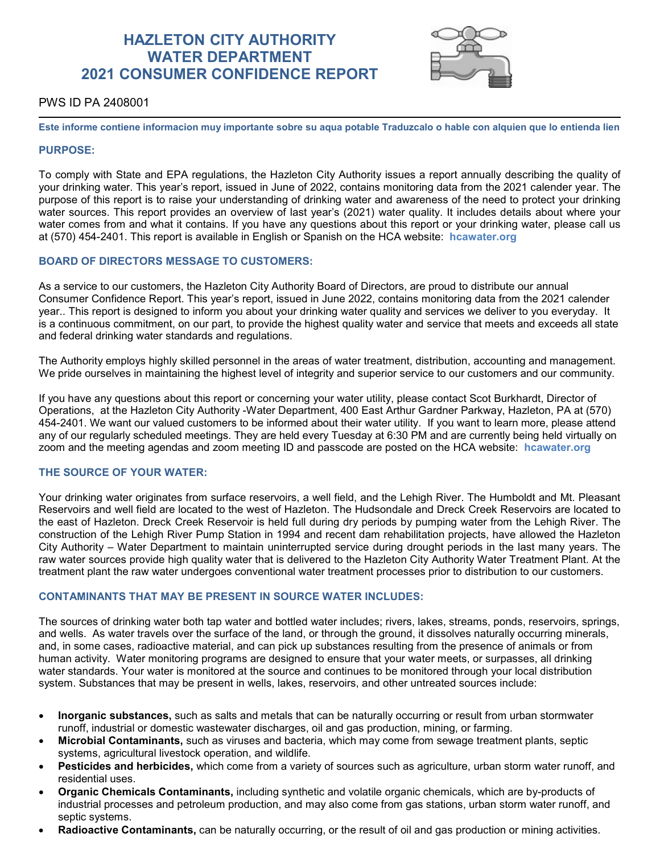# **HAZLETON CITY AUTHORITY WATER DEPARTMENT 2021 CONSUMER CONFIDENCE REPORT**



# PWS ID PA 2408001

**Este informe contiene informacion muy importante sobre su aqua potable Traduzcalo o hable con alquien que lo entienda lien**

## **PURPOSE:**

To comply with State and EPA regulations, the Hazleton City Authority issues a report annually describing the quality of your drinking water. This year's report, issued in June of 2022, contains monitoring data from the 2021 calender year. The purpose of this report is to raise your understanding of drinking water and awareness of the need to protect your drinking water sources. This report provides an overview of last year's (2021) water quality. It includes details about where your water comes from and what it contains. If you have any questions about this report or your drinking water, please call us at (570) 454-2401. This report is available in English or Spanish on the HCA website: **hcawater.org**

## **BOARD OF DIRECTORS MESSAGE TO CUSTOMERS:**

As a service to our customers, the Hazleton City Authority Board of Directors, are proud to distribute our annual Consumer Confidence Report. This year's report, issued in June 2022, contains monitoring data from the 2021 calender year.. This report is designed to inform you about your drinking water quality and services we deliver to you everyday. It is a continuous commitment, on our part, to provide the highest quality water and service that meets and exceeds all state and federal drinking water standards and regulations.

The Authority employs highly skilled personnel in the areas of water treatment, distribution, accounting and management. We pride ourselves in maintaining the highest level of integrity and superior service to our customers and our community.

If you have any questions about this report or concerning your water utility, please contact Scot Burkhardt, Director of Operations, at the Hazleton City Authority -Water Department, 400 East Arthur Gardner Parkway, Hazleton, PA at (570) 454-2401. We want our valued customers to be informed about their water utility. If you want to learn more, please attend any of our regularly scheduled meetings. They are held every Tuesday at 6:30 PM and are currently being held virtually on zoom and the meeting agendas and zoom meeting ID and passcode are posted on the HCA website: **hcawater.org**

# **THE SOURCE OF YOUR WATER:**

Your drinking water originates from surface reservoirs, a well field, and the Lehigh River. The Humboldt and Mt. Pleasant Reservoirs and well field are located to the west of Hazleton. The Hudsondale and Dreck Creek Reservoirs are located to the east of Hazleton. Dreck Creek Reservoir is held full during dry periods by pumping water from the Lehigh River. The construction of the Lehigh River Pump Station in 1994 and recent dam rehabilitation projects, have allowed the Hazleton City Authority – Water Department to maintain uninterrupted service during drought periods in the last many years. The raw water sources provide high quality water that is delivered to the Hazleton City Authority Water Treatment Plant. At the treatment plant the raw water undergoes conventional water treatment processes prior to distribution to our customers.

## **CONTAMINANTS THAT MAY BE PRESENT IN SOURCE WATER INCLUDES:**

The sources of drinking water both tap water and bottled water includes; rivers, lakes, streams, ponds, reservoirs, springs, and wells. As water travels over the surface of the land, or through the ground, it dissolves naturally occurring minerals, and, in some cases, radioactive material, and can pick up substances resulting from the presence of animals or from human activity. Water monitoring programs are designed to ensure that your water meets, or surpasses, all drinking water standards. Your water is monitored at the source and continues to be monitored through your local distribution system. Substances that may be present in wells, lakes, reservoirs, and other untreated sources include:

- **Inorganic substances,** such as salts and metals that can be naturally occurring or result from urban stormwater runoff, industrial or domestic wastewater discharges, oil and gas production, mining, or farming.
- **Microbial Contaminants,** such as viruses and bacteria, which may come from sewage treatment plants, septic systems, agricultural livestock operation, and wildlife.
- **Pesticides and herbicides,** which come from a variety of sources such as agriculture, urban storm water runoff, and residential uses.
- **Organic Chemicals Contaminants,** including synthetic and volatile organic chemicals, which are by-products of industrial processes and petroleum production, and may also come from gas stations, urban storm water runoff, and septic systems.
- **Radioactive Contaminants,** can be naturally occurring, or the result of oil and gas production or mining activities.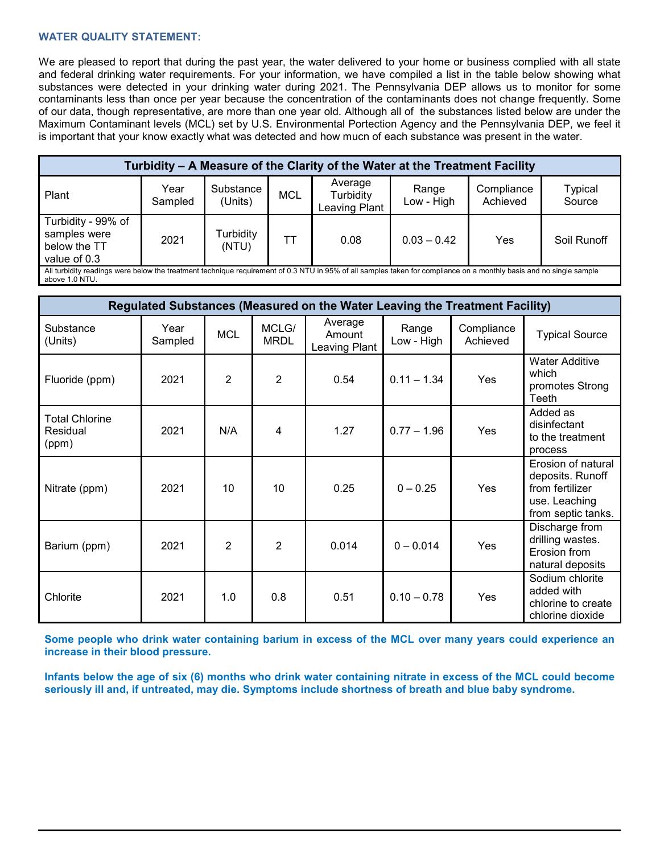## **WATER QUALITY STATEMENT:**

We are pleased to report that during the past year, the water delivered to your home or business complied with all state and federal drinking water requirements. For your information, we have compiled a list in the table below showing what substances were detected in your drinking water during 2021. The Pennsylvania DEP allows us to monitor for some contaminants less than once per year because the concentration of the contaminants does not change frequently. Some of our data, though representative, are more than one year old. Although all of the substances listed below are under the Maximum Contaminant levels (MCL) set by U.S. Environmental Portection Agency and the Pennsylvania DEP, we feel it is important that your know exactly what was detected and how mucn of each substance was present in the water.

| Turbidity - A Measure of the Clarity of the Water at the Treatment Facility                                                                                                           |                 |                      |            |                                       |                     |                        |                          |  |
|---------------------------------------------------------------------------------------------------------------------------------------------------------------------------------------|-----------------|----------------------|------------|---------------------------------------|---------------------|------------------------|--------------------------|--|
| Plant                                                                                                                                                                                 | Year<br>Sampled | Substance<br>(Units) | <b>MCL</b> | Average<br>Turbidity<br>Leaving Plant | Range<br>Low - High | Compliance<br>Achieved | <b>Typical</b><br>Source |  |
| Turbidity - 99% of<br>samples were<br>below the TT<br>value of 0.3                                                                                                                    | 2021            | Turbidity<br>(NTU)   | ТT         | 0.08                                  | $0.03 - 0.42$       | Yes                    | Soil Runoff              |  |
| All turbidity readings were below the treatment technique requirement of 0.3 NTU in 95% of all samples taken for compliance on a monthly basis and no single sample<br>above 1.0 NTU. |                 |                      |            |                                       |                     |                        |                          |  |

| Regulated Substances (Measured on the Water Leaving the Treatment Facility) |                 |                |                      |                                    |                     |                        |                                                                                                  |  |
|-----------------------------------------------------------------------------|-----------------|----------------|----------------------|------------------------------------|---------------------|------------------------|--------------------------------------------------------------------------------------------------|--|
| Substance<br>(Units)                                                        | Year<br>Sampled | <b>MCL</b>     | MCLG/<br><b>MRDL</b> | Average<br>Amount<br>Leaving Plant | Range<br>Low - High | Compliance<br>Achieved | <b>Typical Source</b>                                                                            |  |
| Fluoride (ppm)                                                              | 2021            | 2              | $\overline{2}$       | 0.54                               | $0.11 - 1.34$       | Yes                    | <b>Water Additive</b><br>which<br>promotes Strong<br>Teeth                                       |  |
| <b>Total Chlorine</b><br>Residual<br>(ppm)                                  | 2021            | N/A            | 4                    | 1.27                               | $0.77 - 1.96$       | Yes                    | Added as<br>disinfectant<br>to the treatment<br>process                                          |  |
| Nitrate (ppm)                                                               | 2021            | 10             | 10                   | 0.25                               | $0 - 0.25$          | Yes                    | Erosion of natural<br>deposits. Runoff<br>from fertilizer<br>use. Leaching<br>from septic tanks. |  |
| Barium (ppm)                                                                | 2021            | $\overline{2}$ | $\overline{2}$       | 0.014                              | $0 - 0.014$         | Yes                    | Discharge from<br>drilling wastes.<br>Erosion from<br>natural deposits                           |  |
| Chlorite                                                                    | 2021            | 1.0            | 0.8                  | 0.51                               | $0.10 - 0.78$       | <b>Yes</b>             | Sodium chlorite<br>added with<br>chlorine to create<br>chlorine dioxide                          |  |

**Some people who drink water containing barium in excess of the MCL over many years could experience an increase in their blood pressure.**

**Infants below the age of six (6) months who drink water containing nitrate in excess of the MCL could become seriously ill and, if untreated, may die. Symptoms include shortness of breath and blue baby syndrome.**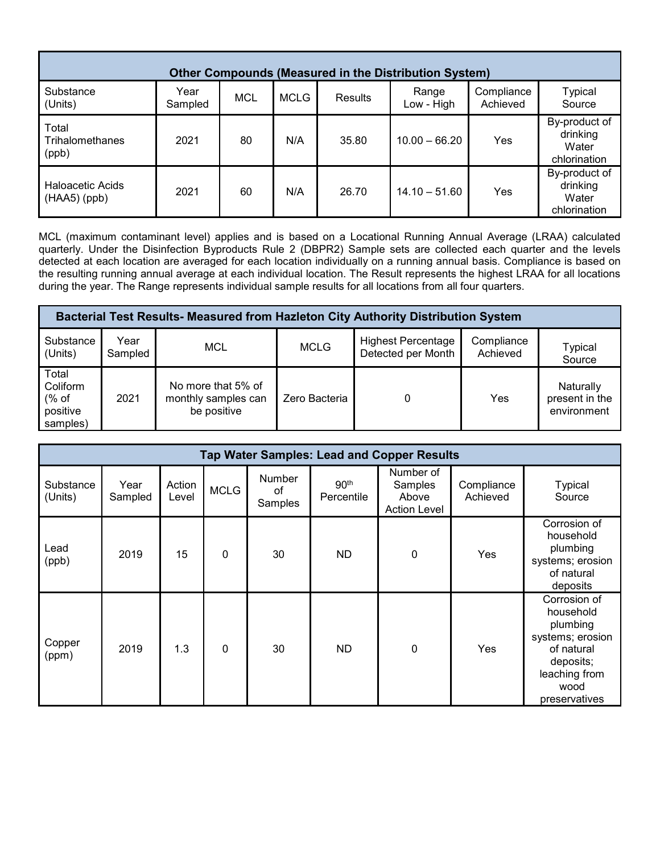| <b>Other Compounds (Measured in the Distribution System)</b> |                 |     |             |                |                     |                        |                                                    |  |
|--------------------------------------------------------------|-----------------|-----|-------------|----------------|---------------------|------------------------|----------------------------------------------------|--|
| Substance<br>(Units)                                         | Year<br>Sampled | MCL | <b>MCLG</b> | <b>Results</b> | Range<br>Low - High | Compliance<br>Achieved | <b>Typical</b><br>Source                           |  |
| Total<br>Trihalomethanes<br>(ppb)                            | 2021            | 80  | N/A         | 35.80          | $10.00 - 66.20$     | Yes                    | By-product of<br>drinking<br>Water<br>chlorination |  |
| <b>Haloacetic Acids</b><br>$(HAA5)$ (ppb)                    | 2021            | 60  | N/A         | 26.70          | $14.10 - 51.60$     | Yes                    | By-product of<br>drinking<br>Water<br>chlorination |  |

MCL (maximum contaminant level) applies and is based on a Locational Running Annual Average (LRAA) calculated quarterly. Under the Disinfection Byproducts Rule 2 (DBPR2) Sample sets are collected each quarter and the levels detected at each location are averaged for each location individually on a running annual basis. Compliance is based on the resulting running annual average at each individual location. The Result represents the highest LRAA for all locations during the year. The Range represents individual sample results for all locations from all four quarters.

| <b>Bacterial Test Results- Measured from Hazleton City Authority Distribution System</b> |                 |                                                          |               |                                                 |                        |                                            |  |  |  |
|------------------------------------------------------------------------------------------|-----------------|----------------------------------------------------------|---------------|-------------------------------------------------|------------------------|--------------------------------------------|--|--|--|
| Substance<br>(Units)                                                                     | Year<br>Sampled | MCL                                                      | <b>MCLG</b>   | <b>Highest Percentage</b><br>Detected per Month | Compliance<br>Achieved | Typical<br>Source                          |  |  |  |
| Total<br>Coliform<br>% of<br>positive<br>samples)                                        | 2021            | No more that 5% of<br>monthly samples can<br>be positive | Zero Bacteria |                                                 | Yes                    | Naturally<br>present in the<br>environment |  |  |  |

| <b>Tap Water Samples: Lead and Copper Results</b> |                 |                 |             |                         |                                |                                                      |                        |                                                                                                                                |  |
|---------------------------------------------------|-----------------|-----------------|-------------|-------------------------|--------------------------------|------------------------------------------------------|------------------------|--------------------------------------------------------------------------------------------------------------------------------|--|
| Substance<br>(Units)                              | Year<br>Sampled | Action<br>Level | <b>MCLG</b> | Number<br>οf<br>Samples | 90 <sup>th</sup><br>Percentile | Number of<br>Samples<br>Above<br><b>Action Level</b> | Compliance<br>Achieved | <b>Typical</b><br>Source                                                                                                       |  |
| Lead<br>(ppb)                                     | 2019            | 15              | 0           | 30                      | <b>ND</b>                      | 0                                                    | Yes                    | Corrosion of<br>household<br>plumbing<br>systems; erosion<br>of natural<br>deposits                                            |  |
| Copper<br>(ppm)                                   | 2019            | 1.3             | 0           | 30                      | ND                             | 0                                                    | Yes                    | Corrosion of<br>household<br>plumbing<br>systems; erosion<br>of natural<br>deposits;<br>leaching from<br>wood<br>preservatives |  |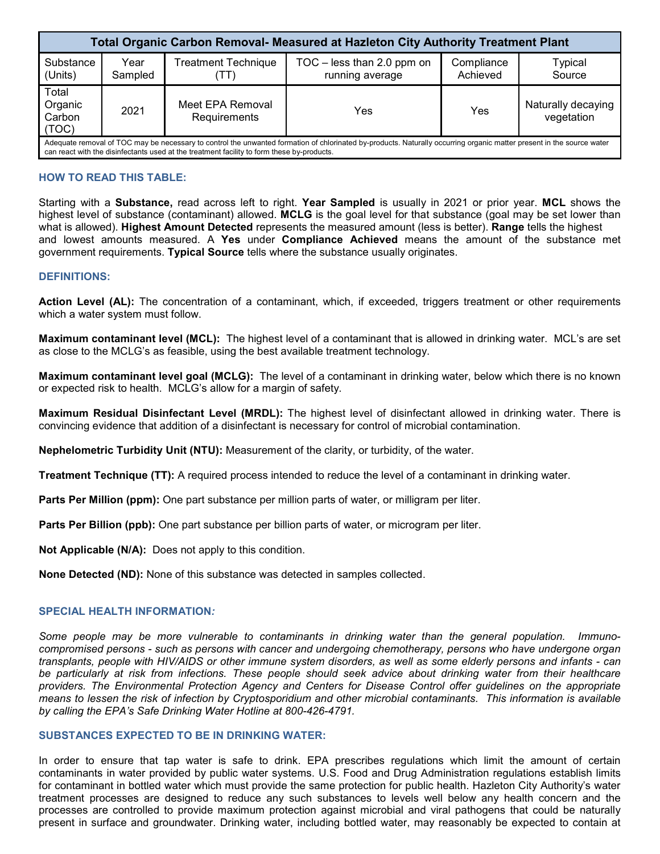| <b>Total Organic Carbon Removal- Measured at Hazleton City Authority Treatment Plant</b>                                                                                                                                                                            |                 |                                            |                                                 |                        |                                  |  |  |  |  |
|---------------------------------------------------------------------------------------------------------------------------------------------------------------------------------------------------------------------------------------------------------------------|-----------------|--------------------------------------------|-------------------------------------------------|------------------------|----------------------------------|--|--|--|--|
| Substance<br>(Units)                                                                                                                                                                                                                                                | Year<br>Sampled | <b>Treatment Technique</b><br>$\mathbf{L}$ | $TOC - less than 2.0 ppm on$<br>running average | Compliance<br>Achieved | <b>Typical</b><br>Source         |  |  |  |  |
| Total<br>Organic<br>Carbon<br>(TOC)                                                                                                                                                                                                                                 | 2021            | Meet EPA Removal<br>Requirements           | Yes                                             | Yes                    | Naturally decaying<br>vegetation |  |  |  |  |
| Adequate removal of TOC may be necessary to control the unwanted formation of chlorinated by-products. Naturally occurring organic matter present in the source water<br>can react with the disinfectants used at the treatment facility to form these by-products. |                 |                                            |                                                 |                        |                                  |  |  |  |  |

## **HOW TO READ THIS TABLE:**

Starting with a **Substance,** read across left to right. **Year Sampled** is usually in 2021 or prior year. **MCL** shows the highest level of substance (contaminant) allowed. **MCLG** is the goal level for that substance (goal may be set lower than what is allowed). **Highest Amount Detected** represents the measured amount (less is better). **Range** tells the highest and lowest amounts measured. A **Yes** under **Compliance Achieved** means the amount of the substance met government requirements. **Typical Source** tells where the substance usually originates.

#### **DEFINITIONS:**

**Action Level (AL):** The concentration of a contaminant, which, if exceeded, triggers treatment or other requirements which a water system must follow.

**Maximum contaminant level (MCL):** The highest level of a contaminant that is allowed in drinking water. MCL's are set as close to the MCLG's as feasible, using the best available treatment technology.

**Maximum contaminant level goal (MCLG):** The level of a contaminant in drinking water, below which there is no known or expected risk to health. MCLG's allow for a margin of safety.

**Maximum Residual Disinfectant Level (MRDL):** The highest level of disinfectant allowed in drinking water. There is convincing evidence that addition of a disinfectant is necessary for control of microbial contamination.

**Nephelometric Turbidity Unit (NTU):** Measurement of the clarity, or turbidity, of the water.

**Treatment Technique (TT):** A required process intended to reduce the level of a contaminant in drinking water.

**Parts Per Million (ppm):** One part substance per million parts of water, or milligram per liter.

**Parts Per Billion (ppb):** One part substance per billion parts of water, or microgram per liter.

**Not Applicable (N/A):** Does not apply to this condition.

**None Detected (ND):** None of this substance was detected in samples collected.

#### **SPECIAL HEALTH INFORMATION***:*

*Some people may be more vulnerable to contaminants in drinking water than the general population. Immunocompromised persons - such as persons with cancer and undergoing chemotherapy, persons who have undergone organ transplants, people with HIV/AIDS or other immune system disorders, as well as some elderly persons and infants - can be particularly at risk from infections. These people should seek advice about drinking water from their healthcare providers. The Environmental Protection Agency and Centers for Disease Control offer guidelines on the appropriate means to lessen the risk of infection by Cryptosporidium and other microbial contaminants. This information is available by calling the EPA's Safe Drinking Water Hotline at 800-426-4791.*

## **SUBSTANCES EXPECTED TO BE IN DRINKING WATER:**

In order to ensure that tap water is safe to drink. EPA prescribes regulations which limit the amount of certain contaminants in water provided by public water systems. U.S. Food and Drug Administration regulations establish limits for contaminant in bottled water which must provide the same protection for public health. Hazleton City Authority's water treatment processes are designed to reduce any such substances to levels well below any health concern and the processes are controlled to provide maximum protection against microbial and viral pathogens that could be naturally present in surface and groundwater. Drinking water, including bottled water, may reasonably be expected to contain at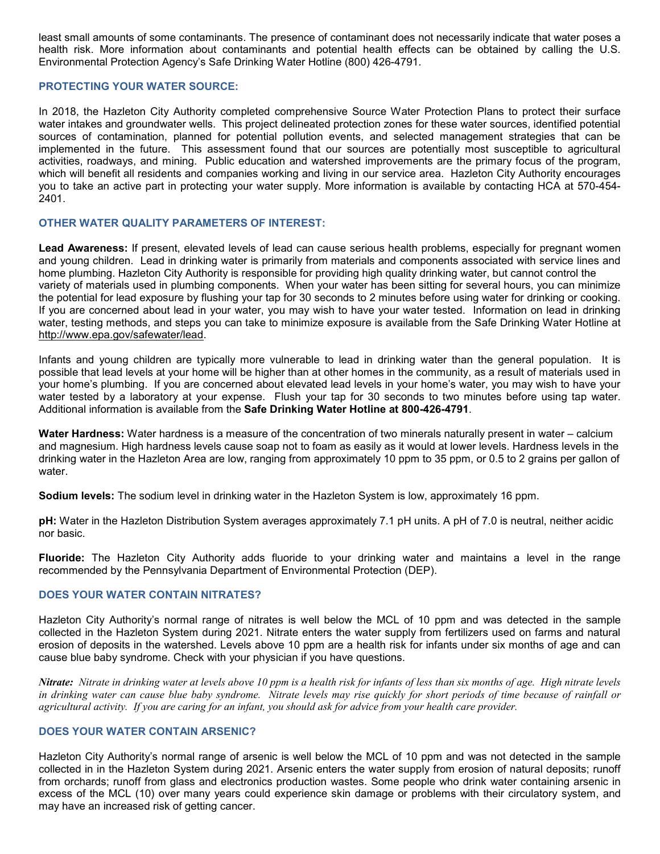least small amounts of some contaminants. The presence of contaminant does not necessarily indicate that water poses a health risk. More information about contaminants and potential health effects can be obtained by calling the U.S. Environmental Protection Agency's Safe Drinking Water Hotline (800) 426-4791.

#### **PROTECTING YOUR WATER SOURCE:**

In 2018, the Hazleton City Authority completed comprehensive Source Water Protection Plans to protect their surface water intakes and groundwater wells. This project delineated protection zones for these water sources, identified potential sources of contamination, planned for potential pollution events, and selected management strategies that can be implemented in the future. This assessment found that our sources are potentially most susceptible to agricultural activities, roadways, and mining. Public education and watershed improvements are the primary focus of the program, which will benefit all residents and companies working and living in our service area. Hazleton City Authority encourages you to take an active part in protecting your water supply. More information is available by contacting HCA at 570-454- 2401.

## **OTHER WATER QUALITY PARAMETERS OF INTEREST:**

**Lead Awareness:** If present, elevated levels of lead can cause serious health problems, especially for pregnant women and young children. Lead in drinking water is primarily from materials and components associated with service lines and home plumbing. Hazleton City Authority is responsible for providing high quality drinking water, but cannot control the variety of materials used in plumbing components. When your water has been sitting for several hours, you can minimize the potential for lead exposure by flushing your tap for 30 seconds to 2 minutes before using water for drinking or cooking. If you are concerned about lead in your water, you may wish to have your water tested. Information on lead in drinking water, testing methods, and steps you can take to minimize exposure is available from the Safe Drinking Water Hotline at [http://www.epa.gov/safewater/lead.](http://www.epa.gov/safewater/lead)

Infants and young children are typically more vulnerable to lead in drinking water than the general population. It is possible that lead levels at your home will be higher than at other homes in the community, as a result of materials used in your home's plumbing. If you are concerned about elevated lead levels in your home's water, you may wish to have your water tested by a laboratory at your expense. Flush your tap for 30 seconds to two minutes before using tap water. Additional information is available from the **Safe Drinking Water Hotline at 800-426-4791**.

**Water Hardness:** Water hardness is a measure of the concentration of two minerals naturally present in water – calcium and magnesium. High hardness levels cause soap not to foam as easily as it would at lower levels. Hardness levels in the drinking water in the Hazleton Area are low, ranging from approximately 10 ppm to 35 ppm, or 0.5 to 2 grains per gallon of water

**Sodium levels:** The sodium level in drinking water in the Hazleton System is low, approximately 16 ppm.

**pH:** Water in the Hazleton Distribution System averages approximately 7.1 pH units. A pH of 7.0 is neutral, neither acidic nor basic.

**Fluoride:** The Hazleton City Authority adds fluoride to your drinking water and maintains a level in the range recommended by the Pennsylvania Department of Environmental Protection (DEP).

## **DOES YOUR WATER CONTAIN NITRATES?**

Hazleton City Authority's normal range of nitrates is well below the MCL of 10 ppm and was detected in the sample collected in the Hazleton System during 2021. Nitrate enters the water supply from fertilizers used on farms and natural erosion of deposits in the watershed. Levels above 10 ppm are a health risk for infants under six months of age and can cause blue baby syndrome. Check with your physician if you have questions.

*Nitrate: Nitrate in drinking water at levels above 10 ppm is a health risk for infants of less than six months of age. High nitrate levels in drinking water can cause blue baby syndrome. Nitrate levels may rise quickly for short periods of time because of rainfall or agricultural activity. If you are caring for an infant, you should ask for advice from your health care provider.*

#### **DOES YOUR WATER CONTAIN ARSENIC?**

Hazleton City Authority's normal range of arsenic is well below the MCL of 10 ppm and was not detected in the sample collected in in the Hazleton System during 2021. Arsenic enters the water supply from erosion of natural deposits; runoff from orchards; runoff from glass and electronics production wastes. Some people who drink water containing arsenic in excess of the MCL (10) over many years could experience skin damage or problems with their circulatory system, and may have an increased risk of getting cancer.